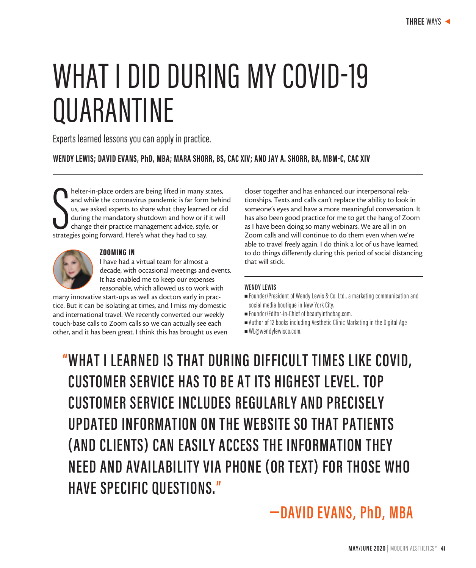# WHAT I DID DURING MY COVID-19 QUARANTINE

Experts learned lessons you can apply in practice.

**WENDY LEWIS; DAVID EVANS, PhD, MBA; MARA SHORR, BS, CAC XIV; AND JAY A. SHORR, BA, MBM-C, CAC XIV**

helter-in-place orders are being lifted in many s<br>and while the coronavirus pandemic is far form<br>us, we asked experts to share what they learned<br>during the mandatory shutdown and how or if<br>change their practice management helter-in-place orders are being lifted in many states, and while the coronavirus pandemic is far form behind us, we asked experts to share what they learned or did during the mandatory shutdown and how or if it will change their practice management advice, style, or



### ZOOMING IN

I have had a virtual team for almost a decade, with occasional meetings and events. It has enabled me to keep our expenses reasonable, which allowed us to work with

many innovative start-ups as well as doctors early in practice. But it can be isolating at times, and I miss my domestic and international travel. We recently converted our weekly touch-base calls to Zoom calls so we can actually see each other, and it has been great. I think this has brought us even closer together and has enhanced our interpersonal relationships. Texts and calls can't replace the ability to look in someone's eyes and have a more meaningful conversation. It has also been good practice for me to get the hang of Zoom as I have been doing so many webinars. We are all in on Zoom calls and will continue to do them even when we're able to travel freely again. I do think a lot of us have learned to do things differently during this period of social distancing that will stick.

## **WENDY LEWIS**

- Founder/President of Wendy Lewis & Co. Ltd., a marketing communication and social media boutique in New York City.
- Founder/Editor-in-Chief of beautyinthebag.com.
- $\blacksquare$  Author of 12 books including Aesthetic Clinic Marketing in the Digital Age
- $WL@$ wendylewisco.com.

**" WHAT I LEARNED IS THAT DURING DIFFICULT TIMES LIKE COVID, CUSTOMER SERVICE HAS TO BE AT ITS HIGHEST LEVEL. TOP CUSTOMER SERVICE INCLUDES REGULARLY AND PRECISELY UPDATED INFORMATION ON THE WEBSITE SO THAT PATIENTS (AND CLIENTS) CAN EASILY ACCESS THE INFORMATION THEY NEED AND AVAILABILITY VIA PHONE (OR TEXT) FOR THOSE WHO HAVE SPECIFIC QUESTIONS."**

# **—DAVID EVANS, PhD, MBA**